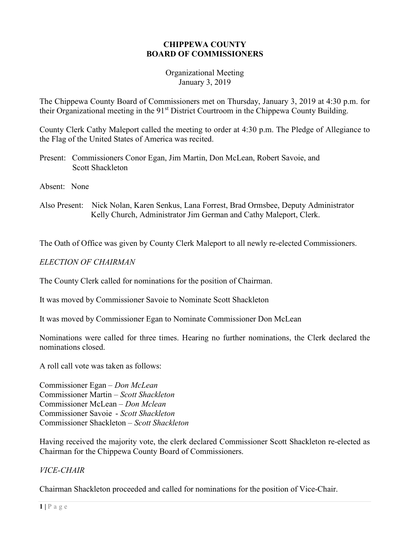# CHIPPEWA COUNTY BOARD OF COMMISSIONERS

#### Organizational Meeting January 3, 2019

The Chippewa County Board of Commissioners met on Thursday, January 3, 2019 at 4:30 p.m. for their Organizational meeting in the 91<sup>st</sup> District Courtroom in the Chippewa County Building.

County Clerk Cathy Maleport called the meeting to order at 4:30 p.m. The Pledge of Allegiance to the Flag of the United States of America was recited.

Present: Commissioners Conor Egan, Jim Martin, Don McLean, Robert Savoie, and Scott Shackleton

Absent: None

Also Present: Nick Nolan, Karen Senkus, Lana Forrest, Brad Ormsbee, Deputy Administrator Kelly Church, Administrator Jim German and Cathy Maleport, Clerk.

The Oath of Office was given by County Clerk Maleport to all newly re-elected Commissioners.

# ELECTION OF CHAIRMAN

The County Clerk called for nominations for the position of Chairman.

It was moved by Commissioner Savoie to Nominate Scott Shackleton

It was moved by Commissioner Egan to Nominate Commissioner Don McLean

Nominations were called for three times. Hearing no further nominations, the Clerk declared the nominations closed.

A roll call vote was taken as follows:

Commissioner Egan – Don McLean Commissioner Martin – Scott Shackleton Commissioner McLean – Don Mclean Commissioner Savoie - Scott Shackleton Commissioner Shackleton – Scott Shackleton

Having received the majority vote, the clerk declared Commissioner Scott Shackleton re-elected as Chairman for the Chippewa County Board of Commissioners.

# VICE-CHAIR

Chairman Shackleton proceeded and called for nominations for the position of Vice-Chair.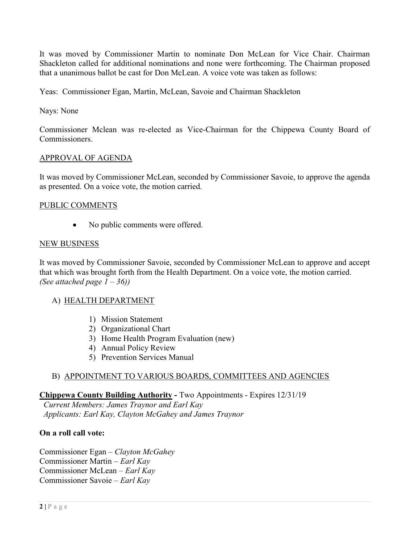It was moved by Commissioner Martin to nominate Don McLean for Vice Chair. Chairman Shackleton called for additional nominations and none were forthcoming. The Chairman proposed that a unanimous ballot be cast for Don McLean. A voice vote was taken as follows:

Yeas: Commissioner Egan, Martin, McLean, Savoie and Chairman Shackleton

## Nays: None

Commissioner Mclean was re-elected as Vice-Chairman for the Chippewa County Board of Commissioners.

# APPROVAL OF AGENDA

It was moved by Commissioner McLean, seconded by Commissioner Savoie, to approve the agenda as presented. On a voice vote, the motion carried.

#### PUBLIC COMMENTS

• No public comments were offered.

# NEW BUSINESS

It was moved by Commissioner Savoie, seconded by Commissioner McLean to approve and accept that which was brought forth from the Health Department. On a voice vote, the motion carried. (See attached page  $1 - 36$ )

#### A) HEALTH DEPARTMENT

- 1) Mission Statement
- 2) Organizational Chart
- 3) Home Health Program Evaluation (new)
- 4) Annual Policy Review
- 5) Prevention Services Manual

# B) APPOINTMENT TO VARIOUS BOARDS, COMMITTEES AND AGENCIES

#### Chippewa County Building Authority - Two Appointments - Expires 12/31/19

 Current Members: James Traynor and Earl Kay Applicants: Earl Kay, Clayton McGahey and James Traynor

#### On a roll call vote:

Commissioner Egan – Clayton McGahey Commissioner Martin – Earl Kay Commissioner McLean – Earl Kay Commissioner Savoie – Earl Kay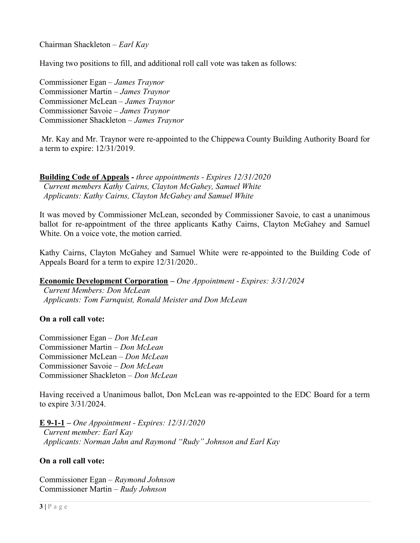Chairman Shackleton – Earl Kay

Having two positions to fill, and additional roll call vote was taken as follows:

Commissioner Egan – James Traynor Commissioner Martin – James Traynor Commissioner McLean – James Traynor Commissioner Savoie – James Traynor Commissioner Shackleton – James Traynor

 Mr. Kay and Mr. Traynor were re-appointed to the Chippewa County Building Authority Board for a term to expire: 12/31/2019.

Building Code of Appeals - three appointments - Expires 12/31/2020 Current members Kathy Cairns, Clayton McGahey, Samuel White Applicants: Kathy Cairns, Clayton McGahey and Samuel White

It was moved by Commissioner McLean, seconded by Commissioner Savoie, to cast a unanimous ballot for re-appointment of the three applicants Kathy Cairns, Clayton McGahey and Samuel White. On a voice vote, the motion carried.

Kathy Cairns, Clayton McGahey and Samuel White were re-appointed to the Building Code of Appeals Board for a term to expire 12/31/2020..

Economic Development Corporation – One Appointment - Expires: 3/31/2024

 Current Members: Don McLean Applicants: Tom Farnquist, Ronald Meister and Don McLean

#### On a roll call vote:

Commissioner Egan – Don McLean Commissioner Martin – Don McLean Commissioner McLean – Don McLean Commissioner Savoie – Don McLean Commissioner Shackleton – Don McLean

Having received a Unanimous ballot, Don McLean was re-appointed to the EDC Board for a term to expire 3/31/2024.

E 9-1-1 – One Appointment - Expires: 12/31/2020 Current member: Earl Kay Applicants: Norman Jahn and Raymond "Rudy" Johnson and Earl Kay

#### On a roll call vote:

Commissioner Egan – Raymond Johnson Commissioner Martin – Rudy Johnson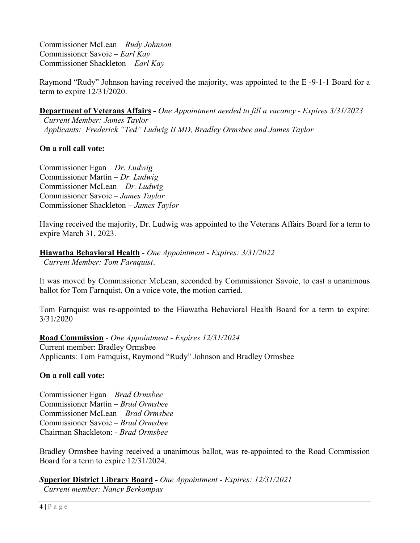Commissioner McLean – Rudy Johnson Commissioner Savoie – Earl Kay Commissioner Shackleton – Earl Kay

Raymond "Rudy" Johnson having received the majority, was appointed to the E -9-1-1 Board for a term to expire 12/31/2020.

Department of Veterans Affairs - One Appointment needed to fill a vacancy - Expires 3/31/2023

 Current Member: James Taylor Applicants: Frederick "Ted" Ludwig II MD, Bradley Ormsbee and James Taylor

# On a roll call vote:

Commissioner Egan – Dr. Ludwig Commissioner Martin – Dr. Ludwig Commissioner McLean – Dr. Ludwig Commissioner Savoie – James Taylor Commissioner Shackleton – James Taylor

Having received the majority, Dr. Ludwig was appointed to the Veterans Affairs Board for a term to expire March 31, 2023.

# Hiawatha Behavioral Health - One Appointment - Expires: 3/31/2022

Current Member: Tom Farnquist.

It was moved by Commissioner McLean, seconded by Commissioner Savoie, to cast a unanimous ballot for Tom Farnquist. On a voice vote, the motion carried.

Tom Farnquist was re-appointed to the Hiawatha Behavioral Health Board for a term to expire: 3/31/2020

Road Commission - One Appointment - Expires 12/31/2024 Current member: Bradley Ormsbee Applicants: Tom Farnquist, Raymond "Rudy" Johnson and Bradley Ormsbee

# On a roll call vote:

Commissioner Egan – Brad Ormsbee Commissioner Martin – Brad Ormsbee Commissioner McLean – Brad Ormsbee Commissioner Savoie – Brad Ormsbee Chairman Shackleton: - Brad Ormsbee

Bradley Ormsbee having received a unanimous ballot, was re-appointed to the Road Commission Board for a term to expire 12/31/2024.

Superior District Library Board - One Appointment - Expires: 12/31/2021 Current member: Nancy Berkompas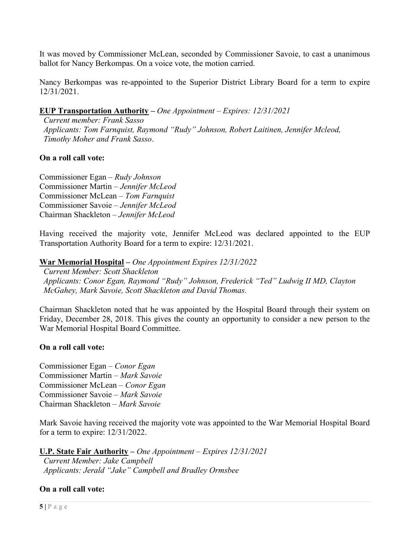It was moved by Commissioner McLean, seconded by Commissioner Savoie, to cast a unanimous ballot for Nancy Berkompas. On a voice vote, the motion carried.

Nancy Berkompas was re-appointed to the Superior District Library Board for a term to expire 12/31/2021.

# EUP Transportation Authority – One Appointment – Expires: 12/31/2021

 Current member: Frank Sasso Applicants: Tom Farnquist, Raymond "Rudy" Johnson, Robert Laitinen, Jennifer Mcleod, Timothy Moher and Frank Sasso.

# On a roll call vote:

Commissioner Egan – Rudy Johnson Commissioner Martin – Jennifer McLeod Commissioner McLean – Tom Farnquist Commissioner Savoie – Jennifer McLeod Chairman Shackleton – Jennifer McLeod

Having received the majority vote, Jennifer McLeod was declared appointed to the EUP Transportation Authority Board for a term to expire: 12/31/2021.

War Memorial Hospital – One Appointment Expires 12/31/2022

 Current Member: Scott Shackleton Applicants: Conor Egan, Raymond "Rudy" Johnson, Frederick "Ted" Ludwig II MD, Clayton McGahey, Mark Savoie, Scott Shackleton and David Thomas.

Chairman Shackleton noted that he was appointed by the Hospital Board through their system on Friday, December 28, 2018. This gives the county an opportunity to consider a new person to the War Memorial Hospital Board Committee.

#### On a roll call vote:

Commissioner Egan – Conor Egan Commissioner Martin – Mark Savoie Commissioner McLean – Conor Egan Commissioner Savoie – Mark Savoie Chairman Shackleton – Mark Savoie

Mark Savoie having received the majority vote was appointed to the War Memorial Hospital Board for a term to expire: 12/31/2022.

U.P. State Fair Authority – One Appointment – Expires 12/31/2021 Current Member: Jake Campbell Applicants: Jerald "Jake" Campbell and Bradley Ormsbee

# On a roll call vote: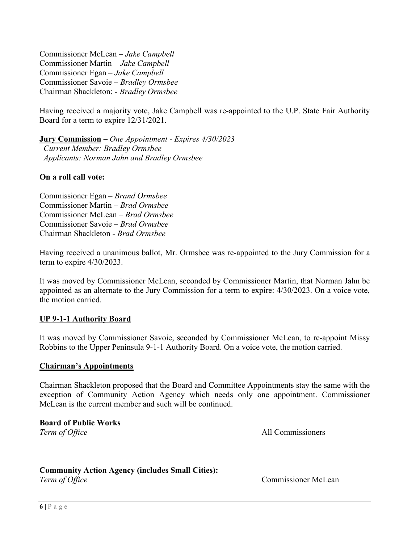Commissioner McLean – Jake Campbell Commissioner Martin – Jake Campbell Commissioner Egan – Jake Campbell Commissioner Savoie – Bradley Ormsbee Chairman Shackleton: - Bradley Ormsbee

Having received a majority vote, Jake Campbell was re-appointed to the U.P. State Fair Authority Board for a term to expire 12/31/2021.

Jury Commission – One Appointment - Expires 4/30/2023 Current Member: Bradley Ormsbee Applicants: Norman Jahn and Bradley Ormsbee

# On a roll call vote:

Commissioner Egan – Brand Ormsbee Commissioner Martin – Brad Ormsbee Commissioner McLean – Brad Ormsbee Commissioner Savoie – Brad Ormsbee Chairman Shackleton - Brad Ormsbee

Having received a unanimous ballot, Mr. Ormsbee was re-appointed to the Jury Commission for a term to expire 4/30/2023.

It was moved by Commissioner McLean, seconded by Commissioner Martin, that Norman Jahn be appointed as an alternate to the Jury Commission for a term to expire: 4/30/2023. On a voice vote, the motion carried.

# UP 9-1-1 Authority Board

It was moved by Commissioner Savoie, seconded by Commissioner McLean, to re-appoint Missy Robbins to the Upper Peninsula 9-1-1 Authority Board. On a voice vote, the motion carried.

#### Chairman's Appointments

Chairman Shackleton proposed that the Board and Committee Appointments stay the same with the exception of Community Action Agency which needs only one appointment. Commissioner McLean is the current member and such will be continued.

Board of Public Works

Term of Office All Commissioners

# Community Action Agency (includes Small Cities):

Term of Office Commissioner McLean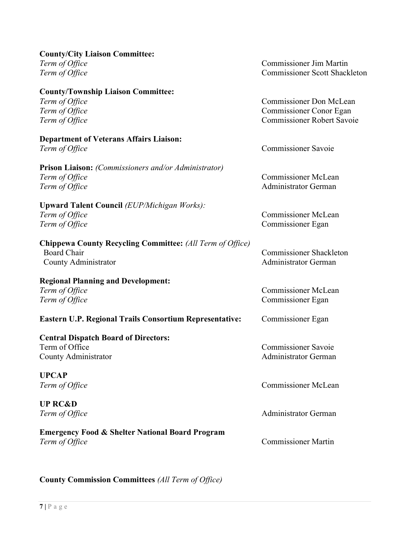| <b>County/City Liaison Committee:</b>                            |                                      |
|------------------------------------------------------------------|--------------------------------------|
| Term of Office                                                   | <b>Commissioner Jim Martin</b>       |
| Term of Office                                                   | <b>Commissioner Scott Shackleton</b> |
| <b>County/Township Liaison Committee:</b>                        |                                      |
| Term of Office                                                   | Commissioner Don McLean              |
| Term of Office                                                   | Commissioner Conor Egan              |
| Term of Office                                                   | <b>Commissioner Robert Savoie</b>    |
| <b>Department of Veterans Affairs Liaison:</b>                   |                                      |
| Term of Office                                                   | <b>Commissioner Savoie</b>           |
| <b>Prison Liaison:</b> (Commissioners and/or Administrator)      |                                      |
| Term of Office                                                   | <b>Commissioner McLean</b>           |
| Term of Office                                                   | <b>Administrator German</b>          |
| <b>Upward Talent Council (EUP/Michigan Works):</b>               |                                      |
| Term of Office                                                   | <b>Commissioner McLean</b>           |
| Term of Office                                                   | <b>Commissioner Egan</b>             |
| <b>Chippewa County Recycling Committee:</b> (All Term of Office) |                                      |
| <b>Board Chair</b>                                               | <b>Commissioner Shackleton</b>       |
| County Administrator                                             | Administrator German                 |
| <b>Regional Planning and Development:</b>                        |                                      |
| Term of Office                                                   | <b>Commissioner McLean</b>           |
| Term of Office                                                   | Commissioner Egan                    |
| <b>Eastern U.P. Regional Trails Consortium Representative:</b>   | Commissioner Egan                    |
| <b>Central Dispatch Board of Directors:</b>                      |                                      |
| Term of Office                                                   | <b>Commissioner Savoie</b>           |
| County Administrator                                             | Administrator German                 |
| <b>UPCAP</b>                                                     |                                      |
| Term of Office                                                   | <b>Commissioner McLean</b>           |
| <b>UP RC&amp;D</b>                                               |                                      |
| Term of Office                                                   | <b>Administrator German</b>          |
| <b>Emergency Food &amp; Shelter National Board Program</b>       |                                      |
| Term of Office                                                   | <b>Commissioner Martin</b>           |

County Commission Committees (All Term of Office)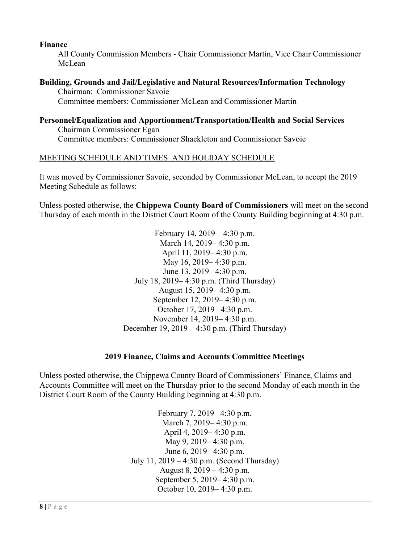## Finance

All County Commission Members - Chair Commissioner Martin, Vice Chair Commissioner McLean

# Building, Grounds and Jail/Legislative and Natural Resources/Information Technology

 Chairman: Commissioner Savoie Committee members: Commissioner McLean and Commissioner Martin

#### Personnel/Equalization and Apportionment/Transportation/Health and Social Services Chairman Commissioner Egan Committee members: Commissioner Shackleton and Commissioner Savoie

# MEETING SCHEDULE AND TIMES AND HOLIDAY SCHEDULE

It was moved by Commissioner Savoie, seconded by Commissioner McLean, to accept the 2019 Meeting Schedule as follows:

Unless posted otherwise, the Chippewa County Board of Commissioners will meet on the second Thursday of each month in the District Court Room of the County Building beginning at 4:30 p.m.

> February 14, 2019 – 4:30 p.m. March 14, 2019– 4:30 p.m. April 11, 2019– 4:30 p.m. May 16, 2019– 4:30 p.m. June 13, 2019– 4:30 p.m. July 18, 2019– 4:30 p.m. (Third Thursday) August 15, 2019– 4:30 p.m. September 12, 2019– 4:30 p.m. October 17, 2019– 4:30 p.m. November 14, 2019– 4:30 p.m. December 19, 2019 – 4:30 p.m. (Third Thursday)

#### 2019 Finance, Claims and Accounts Committee Meetings

Unless posted otherwise, the Chippewa County Board of Commissioners' Finance, Claims and Accounts Committee will meet on the Thursday prior to the second Monday of each month in the District Court Room of the County Building beginning at 4:30 p.m.

> February 7, 2019– 4:30 p.m. March 7, 2019– 4:30 p.m. April 4, 2019– 4:30 p.m. May 9, 2019– 4:30 p.m. June 6, 2019– 4:30 p.m. July 11, 2019 – 4:30 p.m. (Second Thursday) August 8, 2019 – 4:30 p.m. September 5, 2019– 4:30 p.m. October 10, 2019– 4:30 p.m.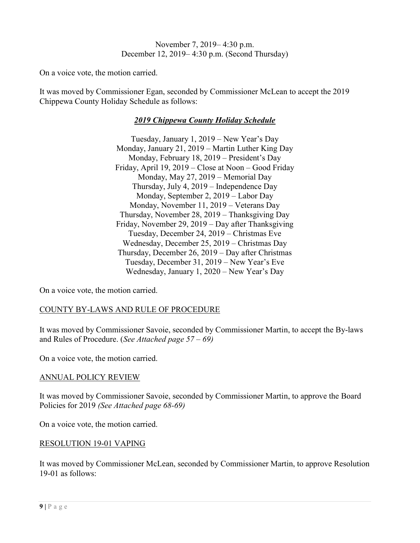November 7, 2019– 4:30 p.m. December 12, 2019– 4:30 p.m. (Second Thursday)

On a voice vote, the motion carried.

It was moved by Commissioner Egan, seconded by Commissioner McLean to accept the 2019 Chippewa County Holiday Schedule as follows:

# 2019 Chippewa County Holiday Schedule

Tuesday, January 1, 2019 – New Year's Day Monday, January 21, 2019 – Martin Luther King Day Monday, February 18, 2019 – President's Day Friday, April 19, 2019 – Close at Noon – Good Friday Monday, May 27, 2019 – Memorial Day Thursday, July 4, 2019 – Independence Day Monday, September 2, 2019 – Labor Day Monday, November 11, 2019 – Veterans Day Thursday, November 28, 2019 – Thanksgiving Day Friday, November 29, 2019 – Day after Thanksgiving Tuesday, December 24, 2019 – Christmas Eve Wednesday, December 25, 2019 – Christmas Day Thursday, December 26, 2019 – Day after Christmas Tuesday, December 31, 2019 – New Year's Eve Wednesday, January 1, 2020 – New Year's Day

On a voice vote, the motion carried.

# COUNTY BY-LAWS AND RULE OF PROCEDURE

It was moved by Commissioner Savoie, seconded by Commissioner Martin, to accept the By-laws and Rules of Procedure. (See Attached page  $57 - 69$ )

On a voice vote, the motion carried.

#### ANNUAL POLICY REVIEW

It was moved by Commissioner Savoie, seconded by Commissioner Martin, to approve the Board Policies for 2019 (See Attached page 68-69)

On a voice vote, the motion carried.

#### RESOLUTION 19-01 VAPING

It was moved by Commissioner McLean, seconded by Commissioner Martin, to approve Resolution 19-01 as follows: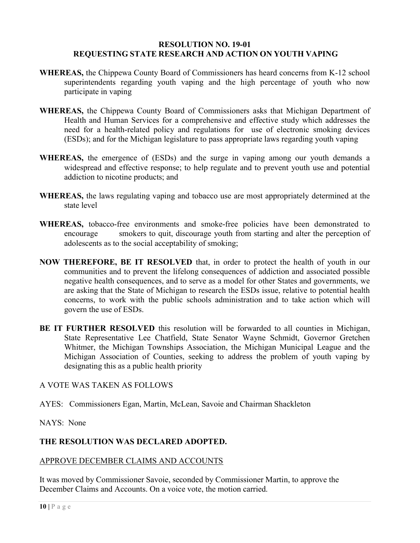#### RESOLUTION NO. 19-01 REQUESTING STATE RESEARCH AND ACTION ON YOUTH VAPING

- WHEREAS, the Chippewa County Board of Commissioners has heard concerns from K-12 school superintendents regarding youth vaping and the high percentage of youth who now participate in vaping
- WHEREAS, the Chippewa County Board of Commissioners asks that Michigan Department of Health and Human Services for a comprehensive and effective study which addresses the need for a health-related policy and regulations for use of electronic smoking devices (ESDs); and for the Michigan legislature to pass appropriate laws regarding youth vaping
- WHEREAS, the emergence of (ESDs) and the surge in vaping among our youth demands a widespread and effective response; to help regulate and to prevent youth use and potential addiction to nicotine products; and
- WHEREAS, the laws regulating vaping and tobacco use are most appropriately determined at the state level
- WHEREAS, tobacco-free environments and smoke-free policies have been demonstrated to encourage smokers to quit, discourage youth from starting and alter the perception of adolescents as to the social acceptability of smoking;
- NOW THEREFORE, BE IT RESOLVED that, in order to protect the health of youth in our communities and to prevent the lifelong consequences of addiction and associated possible negative health consequences, and to serve as a model for other States and governments, we are asking that the State of Michigan to research the ESDs issue, relative to potential health concerns, to work with the public schools administration and to take action which will govern the use of ESDs.
- BE IT FURTHER RESOLVED this resolution will be forwarded to all counties in Michigan, State Representative Lee Chatfield, State Senator Wayne Schmidt, Governor Gretchen Whitmer, the Michigan Townships Association, the Michigan Municipal League and the Michigan Association of Counties, seeking to address the problem of youth vaping by designating this as a public health priority

#### A VOTE WAS TAKEN AS FOLLOWS

AYES: Commissioners Egan, Martin, McLean, Savoie and Chairman Shackleton

#### NAYS: None

## THE RESOLUTION WAS DECLARED ADOPTED.

#### APPROVE DECEMBER CLAIMS AND ACCOUNTS

It was moved by Commissioner Savoie, seconded by Commissioner Martin, to approve the December Claims and Accounts. On a voice vote, the motion carried.